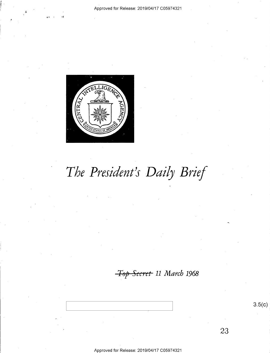

# The President's Daily Brief

Top Secret 11 March 1968

Approved for Release: 2019/04/17 C05974321

 $3.5(c)$ 

23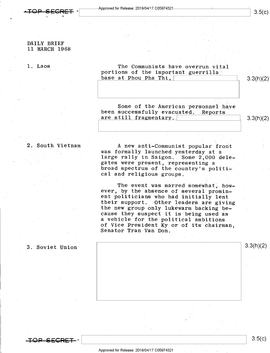<del>-Tap Segket</del> -

### DAILY BRIEF 11 MARCH 1968

1. Laos The Communists have overrun vital portions of the important guerrilla  $\frac{1}{2}$  - 3.3(h)(2) base at Phou Pha Thi.

Some of the American personnel have<br>been successfully evacuated. Reports<br>are still fragmentary.

2. South Vietnam  $\overline{A}$  new anti-Communist popular front was formally launched yesterday at a large rally in Saigon. Some 2,000 delegates were present, representing a broad spectrum of the country's politi-. cal and religious groups.

> The event was marred somewhat, how-<br>ever, by the absence of several prominent politicians who had initially lent<br>their support. Other leaders are giving<br>the new group only lukewarm backing be-<br>cause they suspect it is being used as<br>a vehicle for the political ambitions of Vice President Ky or of its chairman, Senator Tran Van Don.

### 3. Soviet Union  $\parallel$  3.3(h)(2)

TOP SFCRET

- Approved for Release: 2019/04/17 C05974321

\ \ 3'5")

fi

 $3.3(h)(2)$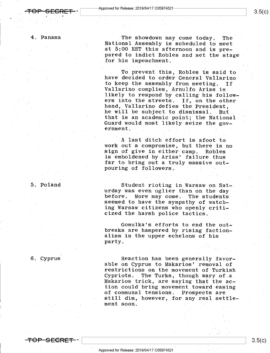### 4. Panama

The showdown may come today. The National Assembly is scheduled to meet at 5:00 EST this afternoon and is prepared to indict Robles and set the stage for his impeachment.

To prevent this, Robles is said to have decided to order General Vallarino to keep the assembly from meeting. 'If Vallarino complies, Arnulfo Arias is<br>likely to respond by calling his followers into the streets. If, on the other<br>hand, Vallarino defies the President. he will be subject to dismissal. But<br>that is an academic point; the National Guard would most likely seize the government. - ¢

A last ditch effort is afoot to<br>work out a compromise, but there is no<br>sign of give in either camp. Robles is emboldened by Arias' failure thus far to bring out a truly massive outpouring of followers. \*

Student rioting in Warsaw on Sat-.<br>urday was even uglier than on the day before. More may come. The students<br>seemed to have the sympathy of watch-<br>ing Warsaw citizens who openly criticized the harsh police tactics.

.Gomulka's efforts to end the out- breaks are hampered by rising faction- alism in the upper echelons of his party.

### 6. Cyprus

<del>TOP SECRET</del> –

5. Poland

Reaction has been generally favor-<br>able on Cyprus to Makarios' removal of restrictions on the movement of Turkish<br>Cypriots. The Turks, though wary of a Makarios trick, are saying that the action could bring movement toward-easing of communal tensions. Prospects are ' still dim, however, for any real settlement soon. .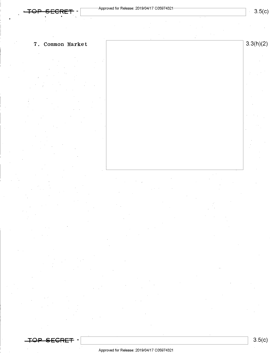7. Common Market 3.3(h)(2)

 $\overline{A}$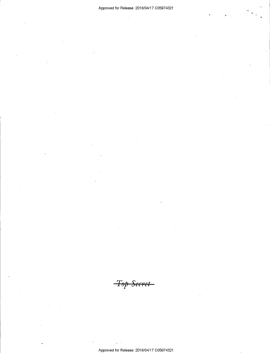Top Secret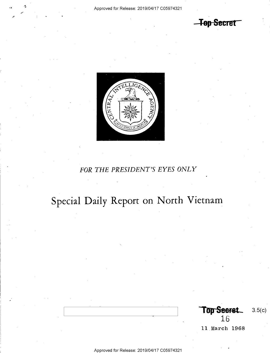-Top Secret



## FOR THE PRESIDENT'S EYES ONLY

Special Daily Report on North Vietnam

Top Seeret.  $3.5(c)$ 16

11 March 1968

Approved for Release: 2019/04/17 C05974321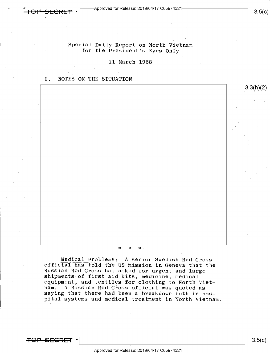3.3(h)(2)

### Special Daily Report on North Vietnam for the President's Eyes Only

11 March 1968

### I. NOTES ON THE SITUATION

'

### $\star$  \* \* \*

Medical Problems: A senior Swedish Red Cross official has told the US mission in Geneva that the Russian Red Cross has asked for urgent and large shipments of first aid kits, medicine, medical equipment, and textiles for clothing to North Viet-<br>nam. A Russian Red Cross official was quoted as saying that there had been a breakdown both in hos-<br>pital systems and medical treatment in North Vietnam.

<del>TOP SECRET</del>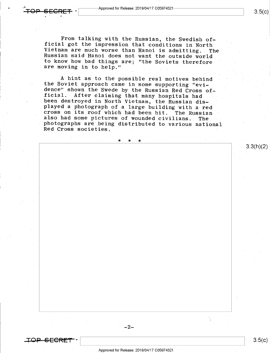From talking with the Russian, the Swedish of-<br>ficial got the impression that conditions in North<br>Vietnam are much worse than Hanoi is admitting. The<br>Russian said Hanoi does not want the outside world<br>to know how bad thing  $\ddot{\phantom{0}}$ 

A hint as to the possible real motives behind<br>the Soviet approach came in some supporting "evi-<br>dence" shown the Swede by the Russian Red Cross of-<br>ficial. After claiming that many hospitals had<br>been destroyed in North Vie played a photograph of a large building with a red<br>cross on its roof which had been hit. The Russian<br>also had some pictures of wounded civilians. The also had some pictures of wounded civilians. . photographs are being distributed to various national Red Cross societies. -

.r\_2\_

TQP

3.3(h)(2)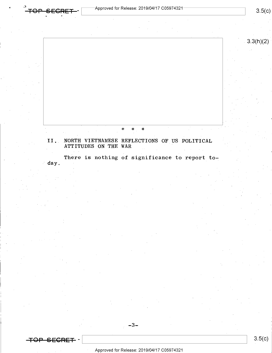$-$ Approved for Release: 2019/04/17 C05974321 $-$ 

 $\bullet$   $\bullet$ 

 $3.5(c)$ 

3.3(h)(2)

### . The contract of the contract of  $\mathbf x$  and  $\mathbf x$  and  $\mathbf x$  and  $\mathbf x$  and  $\mathbf x$  and  $\mathbf x$  and  $\mathbf x$  and  $\mathbf x$  and  $\mathbf x$  and  $\mathbf x$  and  $\mathbf x$  and  $\mathbf x$  and  $\mathbf x$  and  $\mathbf x$  and  $\mathbf x$  and  $\mathbf x$  and  $\mathbf x$  and

# II.. NORTH VIETNAMESE REFLECTIONS OF US POLITICAL ATTITUDES ON THE WAR

There is nothing of significance to report today.

O<del>P SFCRFT</del> -